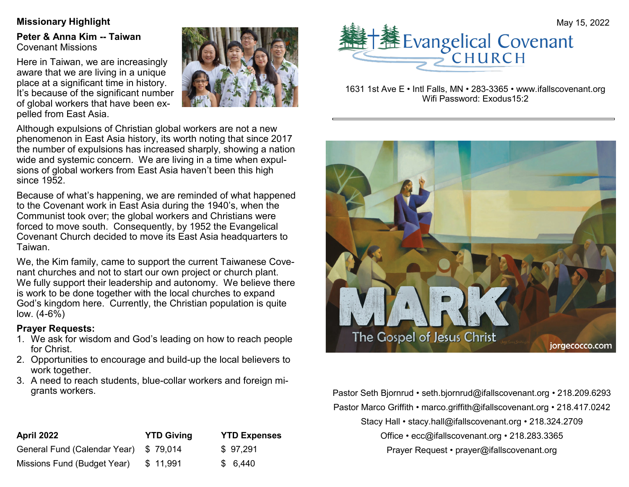**Peter & Anna Kim -- Taiwan** Covenant Missions

Here in Taiwan, we are increasingly aware that we are living in a unique place at a significant time in history. It's because of the significant number of global workers that have been expelled from East Asia.



Although expulsions of Christian global workers are not a new phenomenon in East Asia history, its worth noting that since 2017 the number of expulsions has increased sharply, showing a nation wide and systemic concern. We are living in a time when expulsions of global workers from East Asia haven't been this high since 1952.

Because of what's happening, we are reminded of what happened to the Covenant work in East Asia during the 1940's, when the Communist took over; the global workers and Christians were forced to move south. Consequently, by 1952 the Evangelical Covenant Church decided to move its East Asia headquarters to Taiwan.

We, the Kim family, came to support the current Taiwanese Covenant churches and not to start our own project or church plant. We fully support their leadership and autonomy. We believe there is work to be done together with the local churches to expand God's kingdom here. Currently, the Christian population is quite low. (4-6%)

### **Prayer Requests:**

- 1. We ask for wisdom and God's leading on how to reach people for Christ.
- 2. Opportunities to encourage and build-up the local believers to work together.
- 3. A need to reach students, blue-collar workers and foreign migrants workers.

| April 2022                   | <b>YTD Giving</b> | <b>YTD Expenses</b> |
|------------------------------|-------------------|---------------------|
| General Fund (Calendar Year) | \$79.014          | \$97,291            |
| Missions Fund (Budget Year)  | \$11,991          | \$6,440             |



1631 1st Ave E • Intl Falls, MN • 283-3365 • www.ifallscovenant.org Wifi Password: Exodus15:2



Pastor Seth Bjornrud • seth.bjornrud@ifallscovenant.org • 218.209.6293 Pastor Marco Griffith • marco.griffith@ifallscovenant.org • 218.417.0242 Stacy Hall • stacy.hall@ifallscovenant.org • 218.324.2709 Office • ecc@ifallscovenant.org • 218.283.3365 Prayer Request • prayer@ifallscovenant.org